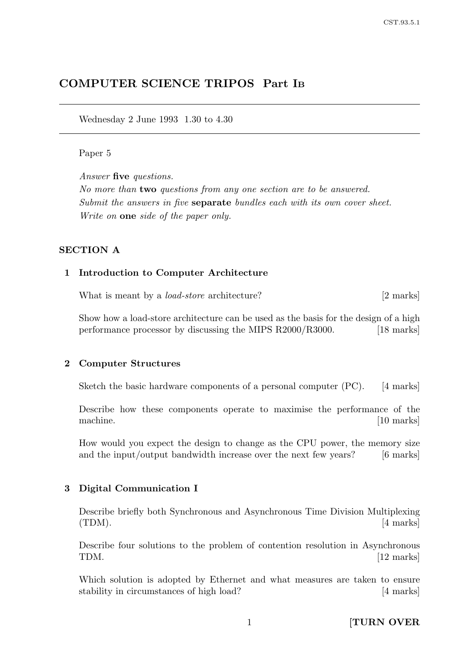# COMPUTER SCIENCE TRIPOS Part I<sup>B</sup>

Wednesday 2 June 1993 1.30 to 4.30

#### Paper 5

Answer five questions.

No more than two questions from any one section are to be answered. Submit the answers in five **separate** bundles each with its own cover sheet. Write on one side of the paper only.

# SECTION A

### 1 Introduction to Computer Architecture

What is meant by a *load-store* architecture? [2 marks]

Show how a load-store architecture can be used as the basis for the design of a high performance processor by discussing the MIPS R2000/R3000. [18 marks]

#### 2 Computer Structures

Sketch the basic hardware components of a personal computer (PC). [4 marks]

Describe how these components operate to maximise the performance of the machine. [10 marks]

How would you expect the design to change as the CPU power, the memory size and the input/output bandwidth increase over the next few years? [6 marks]

#### 3 Digital Communication I

Describe briefly both Synchronous and Asynchronous Time Division Multiplexing  $(TDM).$  [4 marks]

Describe four solutions to the problem of contention resolution in Asynchronous TDM. [12 marks]

Which solution is adopted by Ethernet and what measures are taken to ensure stability in circumstances of high load? [4 marks]

1 **[TURN OVER**]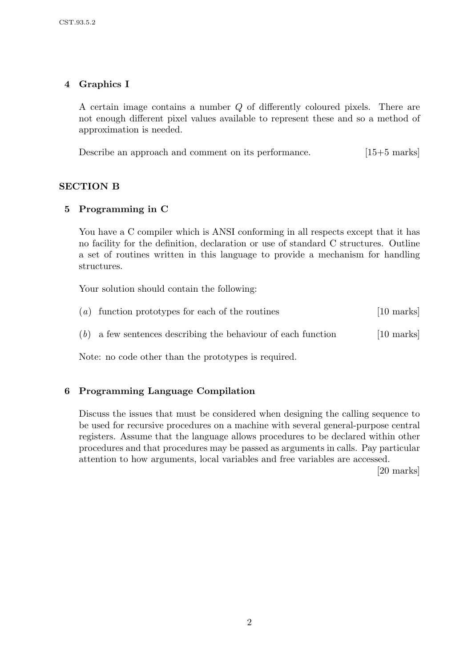# 4 Graphics I

A certain image contains a number Q of differently coloured pixels. There are not enough different pixel values available to represent these and so a method of approximation is needed.

Describe an approach and comment on its performance. [15+5 marks]

#### SECTION B

## 5 Programming in C

You have a C compiler which is ANSI conforming in all respects except that it has no facility for the definition, declaration or use of standard C structures. Outline a set of routines written in this language to provide a mechanism for handling structures.

Your solution should contain the following:

| $(a)$ function prototypes for each of the routines              | $[10 \text{ marks}]$ |
|-----------------------------------------------------------------|----------------------|
| $(b)$ a few sentences describing the behaviour of each function | $[10 \text{ marks}]$ |

Note: no code other than the prototypes is required.

# 6 Programming Language Compilation

Discuss the issues that must be considered when designing the calling sequence to be used for recursive procedures on a machine with several general-purpose central registers. Assume that the language allows procedures to be declared within other procedures and that procedures may be passed as arguments in calls. Pay particular attention to how arguments, local variables and free variables are accessed.

[20 marks]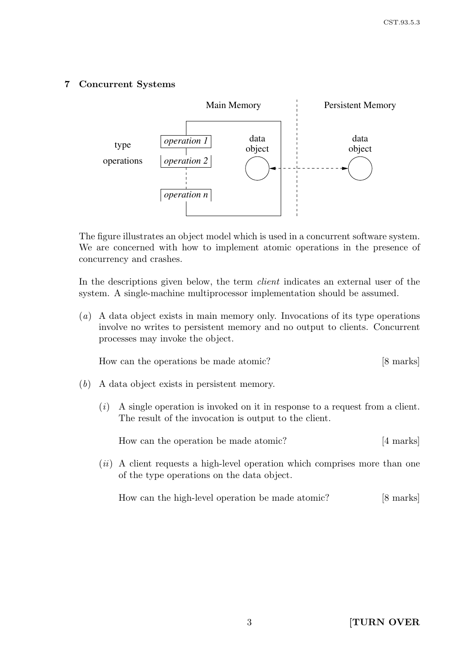# 7 Concurrent Systems



The figure illustrates an object model which is used in a concurrent software system. We are concerned with how to implement atomic operations in the presence of concurrency and crashes.

In the descriptions given below, the term *client* indicates an external user of the system. A single-machine multiprocessor implementation should be assumed.

(a) A data object exists in main memory only. Invocations of its type operations involve no writes to persistent memory and no output to clients. Concurrent processes may invoke the object.

How can the operations be made atomic? [8 marks]

- (b) A data object exists in persistent memory.
	- $(i)$  A single operation is invoked on it in response to a request from a client. The result of the invocation is output to the client.

| [4 marks]<br>How can the operation be made atomic? |
|----------------------------------------------------|
|----------------------------------------------------|

 $(ii)$  A client requests a high-level operation which comprises more than one of the type operations on the data object.

How can the high-level operation be made atomic? [8 marks]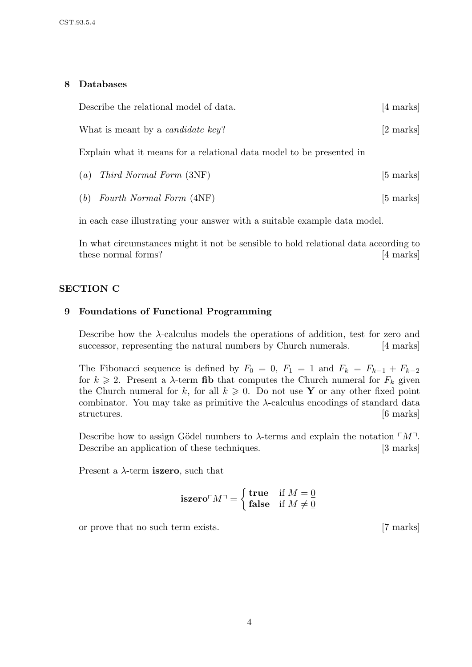## 8 Databases

| Describe the relational model of data.                               | $[4 \text{ marks}]$ |
|----------------------------------------------------------------------|---------------------|
| What is meant by a <i>candidate key</i> ?                            | [2 marks]           |
| Explain what it means for a relational data model to be presented in |                     |
| $(a)$ Third Normal Form $(3NF)$                                      | $[5 \text{ marks}]$ |

(b) Fourth Normal Form  $(4NF)$  [5 marks]

in each case illustrating your answer with a suitable example data model.

In what circumstances might it not be sensible to hold relational data according to these normal forms? [4 marks]

# SECTION C

# 9 Foundations of Functional Programming

Describe how the  $\lambda$ -calculus models the operations of addition, test for zero and successor, representing the natural numbers by Church numerals. [4 marks]

The Fibonacci sequence is defined by  $F_0 = 0$ ,  $F_1 = 1$  and  $F_k = F_{k-1} + F_{k-2}$ for  $k \geq 2$ . Present a  $\lambda$ -term fib that computes the Church numeral for  $F_k$  given the Church numeral for k, for all  $k \geq 0$ . Do not use Y or any other fixed point combinator. You may take as primitive the  $\lambda$ -calculus encodings of standard data structures. [6 marks]

Describe how to assign Gödel numbers to  $\lambda$ -terms and explain the notation  $\lceil M \rceil$ . Describe an application of these techniques. [3 marks]

Present a  $\lambda$ -term **iszero**, such that

$$
\mathbf{iszero} \ulcorner M \urcorner = \left\{ \begin{aligned} \mathbf{true} & \quad \text{if } M = \underline{0} \\ \mathbf{false} & \quad \text{if } M \neq \underline{0} \end{aligned} \right.
$$

or prove that no such term exists. [7 marks]